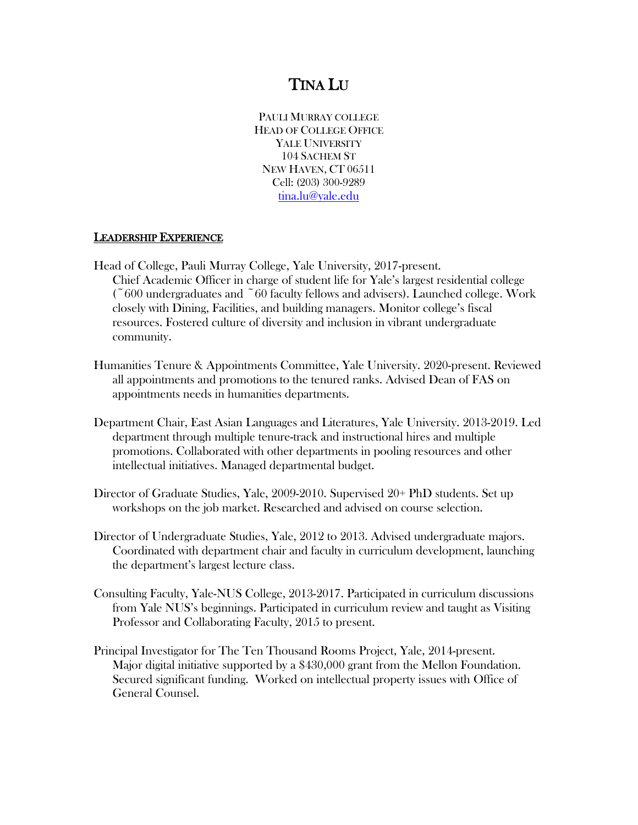# TINA LU

PAULI MURRAY COLLEGE HEAD OF COLLEGE OFFICE YALE UNIVERSITY 104 SACHEM ST NEW HAVEN, CT 06511 Cell: (203) 300-9289 [tina.lu@yale.edu](mailto:tina.lu@yale.edu)

#### LEADERSHIP EXPERIENCE

- Head of College, Pauli Murray College, Yale University, 2017-present. Chief Academic Officer in charge of student life for Yale's largest residential college  $(600 \text{ undergo} and \text{etc})$  faculty fellows and advisers). Launched college. Work closely with Dining, Facilities, and building managers. Monitor college's fiscal resources. Fostered culture of diversity and inclusion in vibrant undergraduate community.
- Humanities Tenure & Appointments Committee, Yale University. 2020-present. Reviewed all appointments and promotions to the tenured ranks. Advised Dean of FAS on appointments needs in humanities departments.
- Department Chair, East Asian Languages and Literatures, Yale University. 2013-2019. Led department through multiple tenure-track and instructional hires and multiple promotions. Collaborated with other departments in pooling resources and other intellectual initiatives. Managed departmental budget.
- Director of Graduate Studies, Yale, 2009-2010. Supervised 20+ PhD students. Set up workshops on the job market. Researched and advised on course selection.
- Director of Undergraduate Studies, Yale, 2012 to 2013. Advised undergraduate majors. Coordinated with department chair and faculty in curriculum development, launching the department's largest lecture class.
- Consulting Faculty, Yale-NUS College, 2013-2017. Participated in curriculum discussions from Yale NUS's beginnings. Participated in curriculum review and taught as Visiting Professor and Collaborating Faculty, 2015 to present.
- Principal Investigator for The Ten Thousand Rooms Project, Yale, 2014-present. Major digital initiative supported by a \$430,000 grant from the Mellon Foundation. Secured significant funding. Worked on intellectual property issues with Office of General Counsel.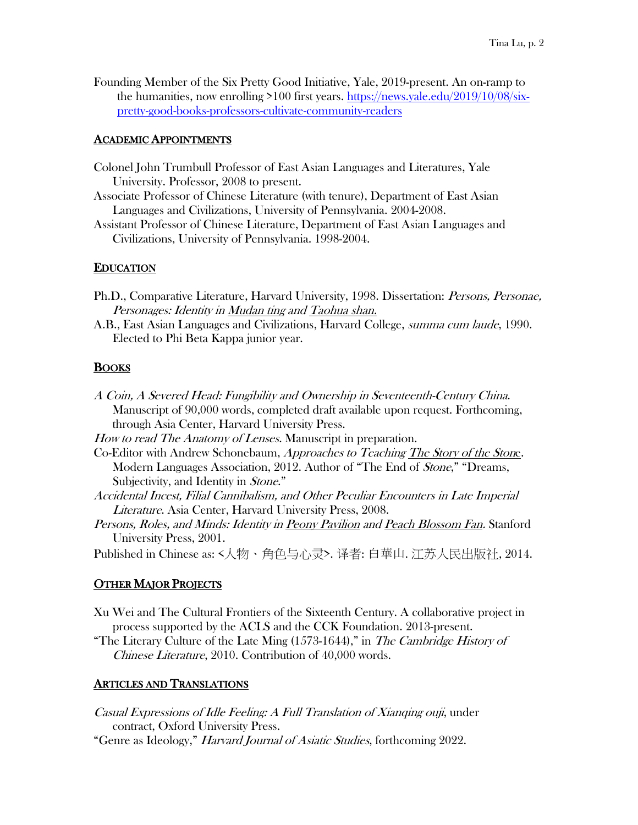Founding Member of the Six Pretty Good Initiative, Yale, 2019-present. An on-ramp to the humanities, now enrolling >100 first years. [https://news.yale.edu/2019/10/08/six](https://news.yale.edu/2019/10/08/six-pretty-good-books-professors-cultivate-community-readers)[pretty-good-books-professors-cultivate-community-readers](https://news.yale.edu/2019/10/08/six-pretty-good-books-professors-cultivate-community-readers)

#### ACADEMIC APPOINTMENTS

- Colonel John Trumbull Professor of East Asian Languages and Literatures, Yale University. Professor, 2008 to present.
- Associate Professor of Chinese Literature (with tenure), Department of East Asian Languages and Civilizations, University of Pennsylvania. 2004-2008.
- Assistant Professor of Chinese Literature, Department of East Asian Languages and Civilizations, University of Pennsylvania. 1998-2004.

#### **EDUCATION**

- Ph.D., Comparative Literature, Harvard University, 1998. Dissertation: Persons, Personae, Personages: Identity in Mudan ting and Taohua shan.
- A.B., East Asian Languages and Civilizations, Harvard College, summa cum laude, 1990. Elected to Phi Beta Kappa junior year.

#### BOOKS

- A Coin, A Severed Head: Fungibility and Ownership in Seventeenth-Century China. Manuscript of 90,000 words, completed draft available upon request. Forthcoming, through Asia Center, Harvard University Press.
- How to read The Anatomy of Lenses. Manuscript in preparation.
- Co-Editor with Andrew Schonebaum, Approaches to Teaching The Story of the Stone. Modern Languages Association, 2012. Author of "The End of Stone," "Dreams, Subjectivity, and Identity in Stone."
- Accidental Incest, Filial Cannibalism, and Other Peculiar Encounters in Late Imperial Literature. Asia Center, Harvard University Press, 2008.
- Persons, Roles, and Minds: Identity in Peony Pavilion and Peach Blossom Fan. Stanford University Press, 2001.

Published in Chinese as: <人物、角色与心灵>. 译者: 白華山. 江苏人民出版社, 2014.

#### **OTHER MAJOR PROJECTS**

- Xu Wei and The Cultural Frontiers of the Sixteenth Century. A collaborative project in process supported by the ACLS and the CCK Foundation. 2013-present.
- "The Literary Culture of the Late Ming  $(1573-1644)$ ," in The Cambridge History of Chinese Literature, 2010. Contribution of 40,000 words.

#### ARTICLES AND TRANSLATIONS

- Casual Expressions of Idle Feeling: A Full Translation of Xianqing ouji, under contract, Oxford University Press.
- "Genre as Ideology," Harvard Journal of Asiatic Studies, forthcoming 2022.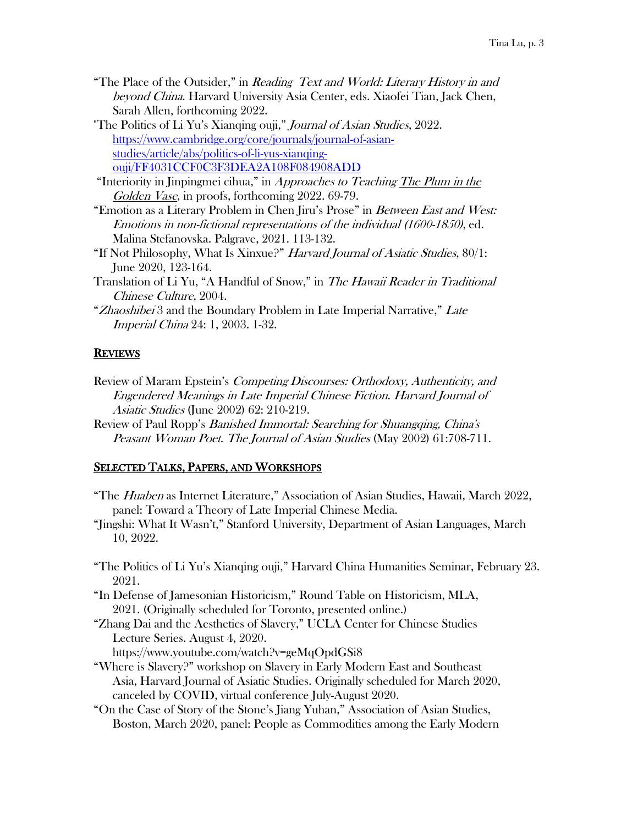- "The Place of the Outsider," in Reading Text and World: Literary History in and beyond China. Harvard University Asia Center, eds. Xiaofei Tian, Jack Chen, Sarah Allen, forthcoming 2022.
- "The Politics of Li Yu's Xianqing ouji," *Journal of Asian Studies*, 2022. [https://www.cambridge.org/core/journals/journal-of-asian](https://www.cambridge.org/core/journals/journal-of-asian-studies/article/abs/politics-of-li-yus-xianqing-ouji/FF4031CCF0C3F3DEA2A108F084908ADD)[studies/article/abs/politics-of-li-yus-xianqing](https://www.cambridge.org/core/journals/journal-of-asian-studies/article/abs/politics-of-li-yus-xianqing-ouji/FF4031CCF0C3F3DEA2A108F084908ADD)[ouji/FF4031CCF0C3F3DEA2A108F084908ADD](https://www.cambridge.org/core/journals/journal-of-asian-studies/article/abs/politics-of-li-yus-xianqing-ouji/FF4031CCF0C3F3DEA2A108F084908ADD)
- "Interiority in Jinpingmei cihua," in Approaches to Teaching The Plum in the Golden Vase, in proofs, forthcoming 2022. 69-79.
- "Emotion as a Literary Problem in Chen Jiru's Prose" in Between East and West: Emotions in non-fictional representations of the individual (1600-1850), ed. Malina Stefanovska. Palgrave, 2021. 113-132.
- "If Not Philosophy, What Is Xinxue?" Harvard Journal of Asiatic Studies, 80/1: June 2020, 123-164.
- Translation of Li Yu, "A Handful of Snow," in The Hawaii Reader in Traditional Chinese Culture, 2004.
- "Zhaoshibei 3 and the Boundary Problem in Late Imperial Narrative," Late Imperial China 24: 1, 2003. 1-32.

## **REVIEWS**

- Review of Maram Epstein's *Competing Discourses: Orthodoxy, Authenticity, and* Engendered Meanings in Late Imperial Chinese Fiction. Harvard Journal of Asiatic Studies (June 2002) 62: 210-219.
- Review of Paul Ropp's *Banished Immortal: Searching for Shuangqing, China's* Peasant Woman Poet. The Journal of Asian Studies (May 2002) 61:708-711.

## SELECTED TALKS, PAPERS, AND WORKSHOPS

- "The Huaben as Internet Literature," Association of Asian Studies, Hawaii, March 2022, panel: Toward a Theory of Late Imperial Chinese Media.
- "Jingshi: What It Wasn't," Stanford University, Department of Asian Languages, March 10, 2022.
- "The Politics of Li Yu's Xianqing ouji," Harvard China Humanities Seminar, February 23. 2021.
- "In Defense of Jamesonian Historicism," Round Table on Historicism, MLA, 2021. (Originally scheduled for Toronto, presented online.)
- "Zhang Dai and the Aesthetics of Slavery," UCLA Center for Chinese Studies Lecture Series. August 4, 2020.
	- https://www.youtube.com/watch?v=geMqOpdGSi8
- "Where is Slavery?" workshop on Slavery in Early Modern East and Southeast Asia, Harvard Journal of Asiatic Studies. Originally scheduled for March 2020, canceled by COVID, virtual conference July-August 2020.
- "On the Case of Story of the Stone's Jiang Yuhan," Association of Asian Studies, Boston, March 2020, panel: People as Commodities among the Early Modern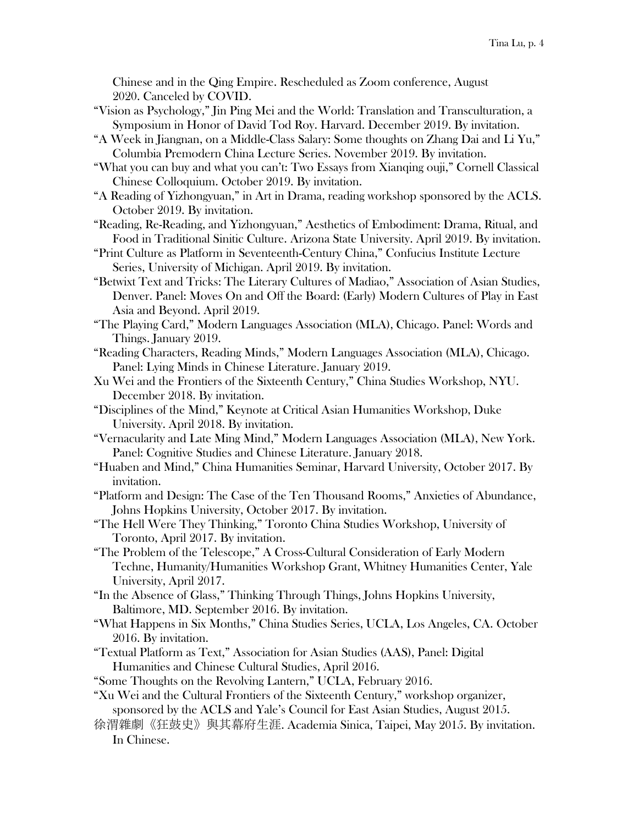Chinese and in the Qing Empire. Rescheduled as Zoom conference, August 2020. Canceled by COVID.

- "Vision as Psychology," Jin Ping Mei and the World: Translation and Transculturation, a Symposium in Honor of David Tod Roy. Harvard. December 2019. By invitation.
- "A Week in Jiangnan, on a Middle-Class Salary: Some thoughts on Zhang Dai and Li Yu," Columbia Premodern China Lecture Series. November 2019. By invitation.
- "What you can buy and what you can't: Two Essays from Xianqing ouji," Cornell Classical Chinese Colloquium. October 2019. By invitation.
- "A Reading of Yizhongyuan," in Art in Drama, reading workshop sponsored by the ACLS. October 2019. By invitation.
- "Reading, Re-Reading, and Yizhongyuan," Aesthetics of Embodiment: Drama, Ritual, and Food in Traditional Sinitic Culture. Arizona State University. April 2019. By invitation.
- "Print Culture as Platform in Seventeenth-Century China," Confucius Institute Lecture Series, University of Michigan. April 2019. By invitation.
- "Betwixt Text and Tricks: The Literary Cultures of Madiao," Association of Asian Studies, Denver. Panel: Moves On and Off the Board: (Early) Modern Cultures of Play in East Asia and Beyond. April 2019.
- "The Playing Card," Modern Languages Association (MLA), Chicago. Panel: Words and Things. January 2019.
- "Reading Characters, Reading Minds," Modern Languages Association (MLA), Chicago. Panel: Lying Minds in Chinese Literature. January 2019.
- Xu Wei and the Frontiers of the Sixteenth Century," China Studies Workshop, NYU. December 2018. By invitation.
- "Disciplines of the Mind," Keynote at Critical Asian Humanities Workshop, Duke University. April 2018. By invitation.
- "Vernacularity and Late Ming Mind," Modern Languages Association (MLA), New York. Panel: Cognitive Studies and Chinese Literature. January 2018.
- "Huaben and Mind," China Humanities Seminar, Harvard University, October 2017. By invitation.
- "Platform and Design: The Case of the Ten Thousand Rooms," Anxieties of Abundance, Johns Hopkins University, October 2017. By invitation.
- "The Hell Were They Thinking," Toronto China Studies Workshop, University of Toronto, April 2017. By invitation.
- "The Problem of the Telescope," A Cross-Cultural Consideration of Early Modern Techne, Humanity/Humanities Workshop Grant, Whitney Humanities Center, Yale University, April 2017.
- "In the Absence of Glass," Thinking Through Things, Johns Hopkins University, Baltimore, MD. September 2016. By invitation.
- "What Happens in Six Months," China Studies Series, UCLA, Los Angeles, CA. October 2016. By invitation.
- "Textual Platform as Text," Association for Asian Studies (AAS), Panel: Digital Humanities and Chinese Cultural Studies, April 2016.
- "Some Thoughts on the Revolving Lantern," UCLA, February 2016.
- "Xu Wei and the Cultural Frontiers of the Sixteenth Century," workshop organizer, sponsored by the ACLS and Yale's Council for East Asian Studies, August 2015.
- 徐渭雜劇《狂鼓史》與其幕府生涯. Academia Sinica, Taipei, May 2015. By invitation. In Chinese.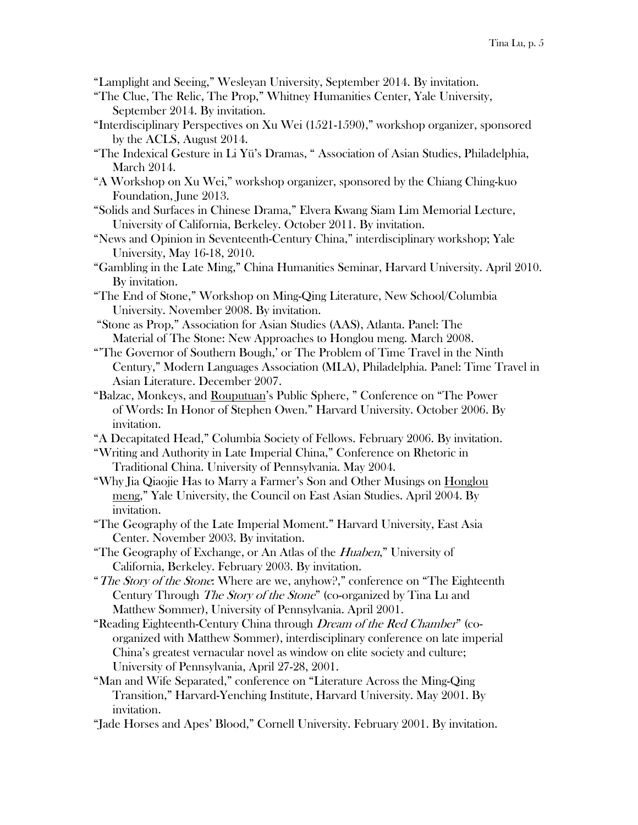"Lamplight and Seeing," Wesleyan University, September 2014. By invitation.

- "The Clue, The Relic, The Prop," Whitney Humanities Center, Yale University, September 2014. By invitation.
- "Interdisciplinary Perspectives on Xu Wei (1521-1590)," workshop organizer, sponsored by the ACLS, August 2014.
- "The Indexical Gesture in Li Yü's Dramas, " Association of Asian Studies, Philadelphia, March 2014.
- "A Workshop on Xu Wei," workshop organizer, sponsored by the Chiang Ching-kuo Foundation, June 2013.
- "Solids and Surfaces in Chinese Drama," Elvera Kwang Siam Lim Memorial Lecture, University of California, Berkeley. October 2011. By invitation.
- "News and Opinion in Seventeenth-Century China," interdisciplinary workshop; Yale University, May 16-18, 2010.
- "Gambling in the Late Ming," China Humanities Seminar, Harvard University. April 2010. By invitation.
- "The End of Stone," Workshop on Ming-Qing Literature, New School/Columbia University. November 2008. By invitation.
- "Stone as Prop," Association for Asian Studies (AAS), Atlanta. Panel: The Material of The Stone: New Approaches to Honglou meng. March 2008.
- "'The Governor of Southern Bough,' or The Problem of Time Travel in the Ninth Century," Modern Languages Association (MLA), Philadelphia. Panel: Time Travel in Asian Literature. December 2007.
- "Balzac, Monkeys, and Rouputuan's Public Sphere, " Conference on "The Power of Words: In Honor of Stephen Owen." Harvard University. October 2006. By invitation.
- "A Decapitated Head," Columbia Society of Fellows. February 2006. By invitation.
- "Writing and Authority in Late Imperial China," Conference on Rhetoric in Traditional China. University of Pennsylvania. May 2004.
- "Why Jia Qiaojie Has to Marry a Farmer's Son and Other Musings on Honglou meng," Yale University, the Council on East Asian Studies. April 2004. By invitation.
- "The Geography of the Late Imperial Moment." Harvard University, East Asia Center. November 2003. By invitation.
- "The Geography of Exchange, or An Atlas of the *Huaben*," University of California, Berkeley. February 2003. By invitation.
- "The Story of the Stone: Where are we, anyhow?," conference on "The Eighteenth" Century Through The Story of the Stone" (co-organized by Tina Lu and Matthew Sommer), University of Pennsylvania. April 2001.
- "Reading Eighteenth-Century China through *Dream of the Red Chamber*" (coorganized with Matthew Sommer), interdisciplinary conference on late imperial China's greatest vernacular novel as window on elite society and culture; University of Pennsylvania, April 27-28, 2001.
- "Man and Wife Separated," conference on "Literature Across the Ming-Qing Transition," Harvard-Yenching Institute, Harvard University. May 2001. By invitation.
- "Jade Horses and Apes' Blood," Cornell University. February 2001. By invitation.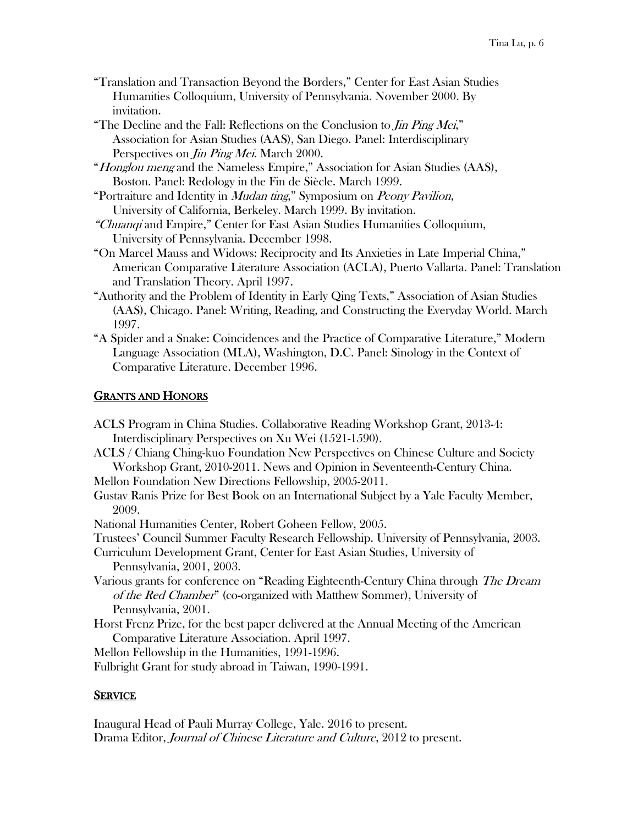- "Translation and Transaction Beyond the Borders," Center for East Asian Studies Humanities Colloquium, University of Pennsylvania. November 2000. By invitation.
- "The Decline and the Fall: Reflections on the Conclusion to *Jin Ping Mei*," Association for Asian Studies (AAS), San Diego. Panel: Interdisciplinary Perspectives on *Jin Ping Mei*. March 2000.
- "Honglou meng and the Nameless Empire," Association for Asian Studies (AAS), Boston. Panel: Redology in the Fin de Siècle. March 1999.
- "Portraiture and Identity in Mudan ting," Symposium on Peony Pavilion, University of California, Berkeley. March 1999. By invitation.
- "Chuanqi and Empire," Center for East Asian Studies Humanities Colloquium, University of Pennsylvania. December 1998.
- "On Marcel Mauss and Widows: Reciprocity and Its Anxieties in Late Imperial China," American Comparative Literature Association (ACLA), Puerto Vallarta. Panel: Translation and Translation Theory. April 1997.
- "Authority and the Problem of Identity in Early Qing Texts," Association of Asian Studies (AAS), Chicago. Panel: Writing, Reading, and Constructing the Everyday World. March 1997.
- "A Spider and a Snake: Coincidences and the Practice of Comparative Literature," Modern Language Association (MLA), Washington, D.C. Panel: Sinology in the Context of Comparative Literature. December 1996.

# GRANTS AND HONORS

- ACLS Program in China Studies. Collaborative Reading Workshop Grant, 2013-4: Interdisciplinary Perspectives on Xu Wei (1521-1590).
- ACLS / Chiang Ching-kuo Foundation New Perspectives on Chinese Culture and Society Workshop Grant, 2010-2011. News and Opinion in Seventeenth-Century China.
- Mellon Foundation New Directions Fellowship, 2005-2011.
- Gustav Ranis Prize for Best Book on an International Subject by a Yale Faculty Member, 2009.
- National Humanities Center, Robert Goheen Fellow, 2005.
- Trustees' Council Summer Faculty Research Fellowship. University of Pennsylvania, 2003.
- Curriculum Development Grant, Center for East Asian Studies, University of Pennsylvania, 2001, 2003.
- Various grants for conference on "Reading Eighteenth-Century China through The Dream of the Red Chamber" (co-organized with Matthew Sommer), University of Pennsylvania, 2001.
- Horst Frenz Prize, for the best paper delivered at the Annual Meeting of the American Comparative Literature Association. April 1997.
- Mellon Fellowship in the Humanities, 1991-1996.

Fulbright Grant for study abroad in Taiwan, 1990-1991.

## **SERVICE**

Inaugural Head of Pauli Murray College, Yale. 2016 to present. Drama Editor, Journal of Chinese Literature and Culture, 2012 to present.